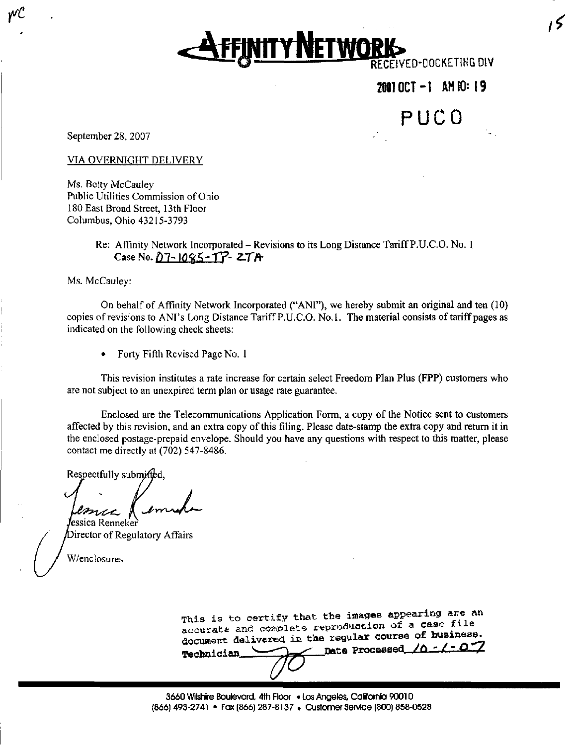**VITY NETWORK** 

21117OCT-I AH 10: 1 9

PUCO

September 28, 2007

pt

VIA OVERNIGHT DELIVERY

Ms. Betty McCauley Public Utilities Commission of Ohio 180 East Broad Street, 13th Floor Columbus, Ohio 43215-3793

# Re: Affinity Network Incorporated - Revisions to its Long Distance Tariff P.U.C.O. No. 1  $Case No. D7 - 1095 - T7 - ZTA$

Ms. McCauley:

On behalf of Affinity Network Incorporated ("ANI"), we hereby submit an original and ten (10) copies of revisions to ANI's Long Distance Tariff P.U.C.O. No.1. The material consists of tariff pages as indicated on the following check sheets:

• Forty Fifth Revised Page No. 1

This revision institutes a rate increase for certain select Freedom Plan Plus (FPP) customers who are not subject to an unexpired term plan or usage rate guarantee.

Enclosed are the Telecommunications Application Form, a copy of the Notice sent to customers affected by this revision, and an extra copy of this filing. Please date-stamp the extra copy and retum it in the enclosed postage-prepaid envelope. Should you have any questions with respect to this matter, please contact me directly at (702) 547-8486.

Respectfully submitted,

**J**essica Renneker Director of Regulatory Affairs

W/enclosures

This is to certify that the images appearing are an accurate and complete reproduction of a case file document delivered in the regular course of business. Technician. Dete Processed,  $/0$  -/- O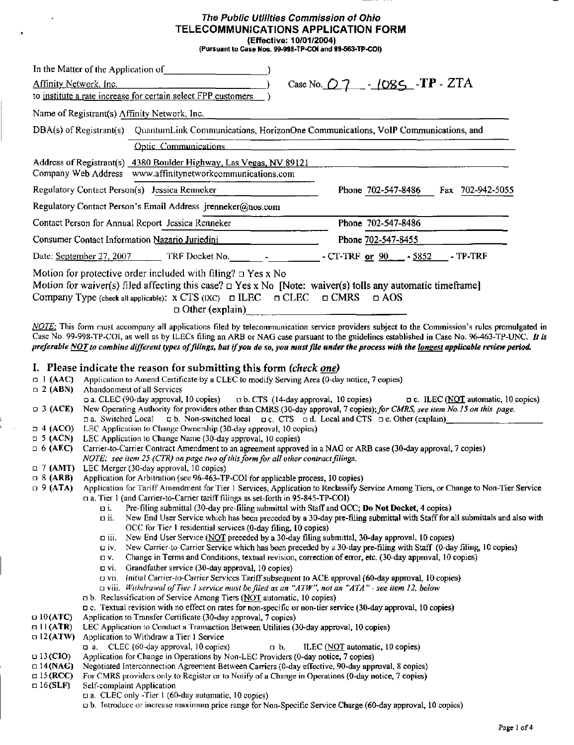#### The Public Utilities Commission of Ohio TELECOMMUNICATIONS APPLICATION FORM (Effective: 10/01/2004) (Pursuant to Case Nos. 99-996-TP-COI and 99-563-TP-COI)

In the Matter of the Application of\_ Affinity Network. Inc. to institute a rate increase for certain select FPP customers Name of Registrant(s) Affinity Network, Inc. Case No.  $O$  7  $-$  - 1085 -TP - ZTA DBA(s) of Registrant(s) QuantumLink Communications, HorizonOne Communications, VoIP Communications, and Optic Communications Address of Registrant(s) 4380 Boulder Highway, Las Vegas. NV 89121 Company Web Address [www.affinitynetworkcommunications.com](http://www.affinitynetworkcommunications.com) Regulatory Contact Person(s) Jessica Renneker Phone 702-547-8486 Fax 702-942-5055 Regulatory Contact Person's Email Address [jrenneker@nos.com](mailto:jrenneker@nos.com) Contact Person for Annual Report Jessica Renneker Phone 702-547-8486 Consumer Contact Information Nazario Juriedini Date: <u>September 27, 2007 \_\_\_\_\_\_</u>\_\_ TRF Docket No. \_\_\_\_\_\_\_\_ - \_\_\_\_\_\_\_\_\_\_\_ - CT-TRF <u>or 90 \_\_\_\_</u> - <u>5852 \_\_\_</u> - TP-TRF Phone 702-547-8455 • 4 (ACO) LEC Application to Change Ownership (30-day approval, 10 copies) □ 5 (ACN) LEC Application to Change Name (30-day approval, 10 copies)  $\Box$  6 (AEC) Motion for protective order included with filing?  $\Box$  Yes x No Motion for waiver(s) filed affecting this case?  $\Box$  Yes x No [Note: waiver(s) tolls any automatic timeframe] Company Type (check all applicable):  $X \text{ CTS}$  (IXC)  $\Box$  ILEC  $\Box$  CLEC  $\Box$  CMRS  $\Box$  AOS  $\Box$  Other (explain) NOTE: This form must accompany all applications filed by telecommunication service providers subject to the Commission's rules promulgated in Case No. 99-998-TP-COI, as well as by ILECs filing an ARB or NAG case pursuant to the guidelines established in Case No. 96-463-TP-UNC. It is preferable NOT to combine different types of filings, but if you do so, you must file under the process with the longest applicable review period. I. Please indicate the reason for submitting this form (check <u>one</u>)  $\Box$  [AAC) Application to Amend Certificate by a CLEC to modify Serving Area (0-day notice, 7 copies) n 2 (ABN) Abandonment of all Services D a. CLEC (90-day approval, 10 copies) nb. CTS (14-day approval, 10 copies) D c. ILEC (NOT automatic, 10 copies) D 3 (ACE) New Operating Authority for providers other than CMRS (30-day approval, 7 copies); for CMRS, see item No. 15 on this page. D a. Switched Local D b. Non-switched local D c. CTS D d. Local and CTS D e. Other (explain) Carrier-to-Carrier Contract Amendment to an agreement approved in a NAG or ARB case (30-day approval, 7 copies) NOTE: see item 25 (CTR) on page two of this form for all other contract filings. a 1 (AMT) LEC Merger (30-day approval, 10 copies) D 8 (ARB) Application for Arbitration (see 96-463-TP-COI for applicable process, 10 copies) D 9 (ATA) Application for Tariff Amendment for Tier 1 Services, Application to Reclassify Service Among Tiers, or Change to Non-Tier Service D a. Tier 1 (and Carrier-to-Carrier tariff filings as set-forth in 95-845-TP-COI) a i. Pre-filing submittal (30-day pre-illing submittal with Staff and OCC; Do Not Docket, 4 copies) D ii. New End User Service which has been preceded by a 30-day pre-filing submittal with Staff for all submittals and also with OCC for Tier 1 residential services (0-day filing, 10 copies) D iii. New End User Service (NOT preceded by a 30-day filing submittal, 30-day approval, 10 copies) D iv. New Carrier-to-Carrier Service which has been preceded by a 30-day pre-filing with Staff (0-day filing, 10 copies) a V. Change in Terms and Conditions, texmal revision, correction of error, etc. (30-day approval, 10 copies) D vi. Grandfather service (30-day approval, 10 copies) a vii. (nitia) Carrier-to-Carrier Services Tariff subsequent to ACE approval (60-day approval, 10 copies)  $\Box$  viii. Withdrawal of Tier 1 service must be filed as an "ATW", not an "ATA" - see item 12, below  $\Box$  b. Reclassification of Service Among Tiers (NOT automatic, 10 copies) D c. Textual revision with no effect on rates for non-specific or non-tier service (30-day approval, 10 copies)  $\Box$  10(ATC) Application to Transfer Certificate (30-day approval, 7 copies)

- D 11 (ATR) LEC Application to Conduct a Transaction Between Utilities (30-day approval, 10 copies)
- n 12 (ATW) App! ication to Withdraw a Tier 1 Service
- - Da. CLEC (60-day approval, 10 copies)  $D$  b. ILEC (NOT automatic, 10 copies)
- $\Box$  13 (CIO) Application for Change in Operations by Non-LEC Providers (0-day notice, 7 copies)
- a 14 (NAG) Negotiated Interconnection Agreement Between Carriers (0-day effective, 90-day approval, 8 copies)
- D 15 (RCC) For CMRS providers only to Register or to Notify of a Change in Operations (0-day notice, 7 copies)
- $\Box$  16(SLF) Self-complaint Application
	- a. CLEC only -Tier I (60-day automatic, 10 copies)
	- a b. Introduce or increase maximum price range for Non-Specific Service Charge (60-day approval, 10 copies)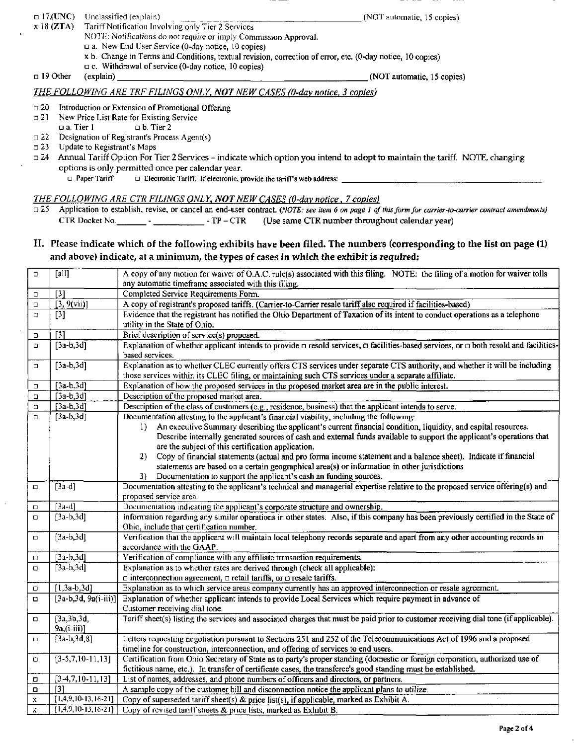- $17$ .(UNC)  $x 18$  (ZTA) Unclassified (explain) (NOT automatic, 15 copies)  $\Box$  19 Other Tariff Notification Involving only Tier 2 Services NOTE: Notifications do not require or imply Commission Approval. D a. New End User Service (0-day notice, 10 copies) x b. Change in Terms and Conditions, textual revision, correction of error, etc. (0-day notice, 10 copies)  $\Box$  c. Withdrawal of service (0-day notice, 10 copies) (explain) (NOT automatic, 15 copies) THE FOLLOWING ARE TRF FILINGS ONLY, NOT NEW CASES (0-day notice, 3 copies)  $\square$  20 a21  $\square$  22  $n23$  $\Box$  24 Introduction or Extension of Promotional Offering New Price List Rate for Existing Service<br> $\Box$  a. Tier 1  $\Box$  b. Tier 2  $\Box$  b. Tier 2 Designation of Registrant's Process Agent(s) Update to Registrant's Maps Annual Tariff Option For Tier 2 Services - indicate which option you intend to adopt to maintain the tariff. NOTE, changing
	- options is only permitted once per calendar year.

 $\Box$  Paper Tariff  $\Box$  Electronic Tariff. If electronic, provide the tariff's web address:

THE FOLLOWING ARE CTR FILINGS ONLY, NOT NEW CASES (0-day notice, 7 copies)

 $\Box$  25 Application to establish, revise, or cancel an end-user contract. (NOTE: see item 6 on page 1 of this form for carrier-to-carrier contract amendments) CTR Docket No. - - TP - CTR (Use same CTR number throughout calendar year)

#### II. Please indicate which of the following exhibits have been filed. The numbers (corresponding to the list on page (1) and above) indicate, at a minimum, the types of cases in which the exhibit is required:

| $\Box$      | [all]                            | A copy of any motion for waiver of O.A.C. rule(s) associated with this filing. NOTE: the filing of a motion for waiver tolls<br>any automatic timeframe associated with this filing.                |
|-------------|----------------------------------|-----------------------------------------------------------------------------------------------------------------------------------------------------------------------------------------------------|
| $\Box$      | $[3]$                            | Completed Service Requirements Form.                                                                                                                                                                |
| $\Box$      | [3, 9(vii)]                      | A copy of registrant's proposed tariffs. (Carrier-to-Carrier resale tariff also required if facilities-based)                                                                                       |
| $\Box$      | $[3]$                            | Evidence that the registrant has notified the Ohio Department of Taxation of its intent to conduct operations as a telephone                                                                        |
|             |                                  | utility in the State of Ohio.                                                                                                                                                                       |
| $\Box$      | $[3]$                            | Brief description of service(s) proposed.                                                                                                                                                           |
| $\Box$      | $[3a-b,3d]$                      | Explanation of whether applicant intends to provide $\Box$ resold services, $\Box$ facilities-based services, or $\Box$ both resold and facilities-                                                 |
|             |                                  | based services.                                                                                                                                                                                     |
| $\Box$      | $[3a-b,3d]$                      | Explanation as to whether CLEC currently offers CTS services under separate CTS authority, and whether it will be including                                                                         |
|             |                                  | those services within its CLEC filing, or maintaining such CTS services under a separate affiliate.                                                                                                 |
| о           | $[3a-b,3d]$                      | Explanation of how the proposed services in the proposed market area are in the public interest.                                                                                                    |
| $\Box$      | $[3a-b,3d]$                      | Description of the proposed market area.                                                                                                                                                            |
| $\Box$      | $[3a-b,3d]$                      | Description of the class of customers (e.g., residence, business) that the applicant intends to serve.                                                                                              |
| $\Box$      | $[3a-b,3d]$                      | Documentation attesting to the applicant's financial viability, including the following:                                                                                                            |
|             |                                  | An executive Summary describing the applicant's current financial condition, liquidity, and capital resources.<br>$\mathbf{D}$                                                                      |
|             |                                  | Describe internally generated sources of cash and external funds available to support the applicant's operations that                                                                               |
|             |                                  | are the subject of this certification application.                                                                                                                                                  |
|             |                                  | Copy of financial statements (actual and pro forma income statement and a balance sheet). Indicate if financial<br>2).                                                                              |
|             |                                  | statements are based on a certain geographical area(s) or information in other jurisdictions<br>3)                                                                                                  |
| $\Box$      | $[3a-d]$                         | Documentation to support the applicant's cash an funding sources.<br>Documentation attesting to the applicant's technical and managerial expertise relative to the proposed service offering(s) and |
|             |                                  | proposed service area.                                                                                                                                                                              |
| $\Box$      | $[3a-d]$                         | Documentation indicating the applicant's corporate structure and ownership.                                                                                                                         |
| $\Box$      | $[3a-b,3d]$                      | Information regarding any similar operations in other states. Also, if this company has been previously certified in the State of                                                                   |
|             |                                  | Ohio, include that certification number.                                                                                                                                                            |
| $\Box$      | $[3a-b,3d]$                      | Verification that the applicant will maintain local telephony records separate and apart from any other accounting records in                                                                       |
|             |                                  | accordance with the GAAP.                                                                                                                                                                           |
| Ο           | $[3a-b,3d]$                      | Verification of compliance with any affiliate transaction requirements.                                                                                                                             |
| $\Box$      | $[3a-b,3d]$                      | Explanation as to whether rates are derived through (check all applicable):                                                                                                                         |
|             |                                  | $\Box$ interconnection agreement, $\Box$ retail tariffs, or $\Box$ resale tariffs.                                                                                                                  |
| O           | $[1, 3a-b, 3d]$                  | Explanation as to which service areas company currently has an approved interconnection or resale agreement.                                                                                        |
| о           | $[3a-b,3d, 9a(i-iii)]$           | Explanation of whether applicant intends to provide Local Services which require payment in advance of                                                                                              |
|             |                                  | Customer receiving dial tone.                                                                                                                                                                       |
| $\Box$      | [3a,3b,3d]                       | Tariff sheet(s) listing the services and associated charges that must be paid prior to customer receiving dial tone (if applicable).                                                                |
|             | $9a,(i-iii)]$                    |                                                                                                                                                                                                     |
| 0           | $[3a-b,3d,8]$                    | Letters requesting negotiation pursuant to Sections 251 and 252 of the Telecommunications Act of 1996 and a proposed                                                                                |
|             |                                  | timeline for construction, interconnection, and offering of services to end users.                                                                                                                  |
| $\Box$      | $[3-5,7,10-11,13]$               | Certification from Ohio Secretary of State as to party's proper standing (domestic or foreign corporation, authorized use of                                                                        |
|             |                                  | fictitious name, etc.). In transfer of certificate cases, the transferee's good standing must be established.                                                                                       |
| σ           | $[3-4,7,10-11,13]$               | List of names, addresses, and phone numbers of officers and directors, or partners.                                                                                                                 |
| $\Box$      | $[3]$<br>$[1,4,9,10,13,16-21]$   | A sample copy of the customer bill and disconnection notice the applicant plans to utilize.                                                                                                         |
| $\mathbf x$ |                                  | Copy of superseded tariff sheet(s) & price list(s), if applicable, marked as Exhibit A.                                                                                                             |
| $\mathbf x$ | $\overline{[1,4,9,10,13,16.21]}$ | Copy of revised tariff sheets & price lists, marked as Exhibit B.                                                                                                                                   |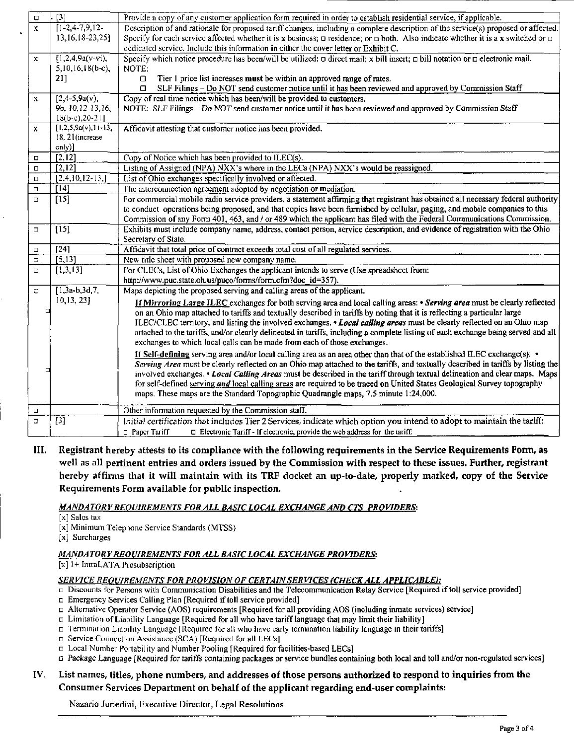| $\Box$       | $[3]$                 | Provide a copy of any customer application form required in order to establish residential service, if applicable.                               |
|--------------|-----------------------|--------------------------------------------------------------------------------------------------------------------------------------------------|
| $\mathbf{x}$ | $[1-2, 4-7, 9, 12-$   | Description of and rationale for proposed tariff changes, including a complete description of the service(s) proposed or affected.               |
|              |                       |                                                                                                                                                  |
|              | 13,16,18-23,25]       | Specify for each service affected whether it is x business; $\Box$ residence; or $\Box$ both. Also indicate whether it is a x switched or $\Box$ |
|              |                       | dedicated service. Include this information in either the cover letter or Exhibit C.                                                             |
| $\mathbf{x}$ | $[1,2,4,9a(v-vi),$    | Specify which notice procedure has been/will be utilized: $\Box$ direct mail; x bill insert; $\Box$ bill notation or $\Box$ electronic mail.     |
|              | $5,10,16,18(b-c),$    | NOTE:                                                                                                                                            |
|              | 21]                   | Tier 1 price list increases must be within an approved range of rates.<br>Ω                                                                      |
|              |                       | SLF Filings - Do NOT send customer notice until it has been reviewed and approved by Commission Staff<br>$\Box$                                  |
| $\mathbf x$  | $[2,4-5,9a(v),$       | Copy of real time notice which has been/will be provided to customers.                                                                           |
|              | 9b, 10, 12-13, 16,    | NOTE: SLF Filings - Do NOT send customer notice until it has been reviewed and approved by Commission Staff                                      |
|              | $18(b-c), 20-21$      |                                                                                                                                                  |
| $\mathbf x$  | $[1,2,5,9a(v),11-13]$ | Affidavit attesting that customer notice has been provided.                                                                                      |
|              | 18.21(increase)       |                                                                                                                                                  |
|              | only)]                |                                                                                                                                                  |
| $\Box$       | $\overline{[2,12]}$   | Copy of Notice which has been provided to ILEC(s).                                                                                               |
| $\Box$       | [2,12]                | Listing of Assigned (NPA) NXX's where in the LECs (NPA) NXX's would be reassigned.                                                               |
| $\Box$       | $[2,4,10,12-13]$      | List of Ohio exchanges specifically involved or affected.                                                                                        |
| $\Box$       | $[14]$                | The interconnection agreement adopted by negotiation or mediation.                                                                               |
| $\Box$       | $[15]$                | For commercial mobile radio service providers, a statement affirming that registrant has obtained all necessary federal authority                |
|              |                       | to conduct operations being proposed, and that copies have been furnished by cellular, paging, and mobile companies to this                      |
|              |                       | Commission of any Form 401, 463, and / or 489 which the applicant has filed with the Federal Communications Commission.                          |
| $\Box$       | $[15]$                | Exhibits must include company name, address, contact person, service description, and evidence of registration with the Ohio                     |
|              |                       | Secretary of State.                                                                                                                              |
| $\Box$       | $\overline{[24]}$     | Affidavit that total price of contract exceeds total cost of all regulated services.                                                             |
| $\Box$       | [5, 13]               | New title sheet with proposed new company name.                                                                                                  |
| $\Box$       | [1,3,13]              | For CLECs, List of Ohio Exchanges the applicant intends to serve (Use spreadsheet from:                                                          |
|              |                       | http://www.puc.state.oh.us/puco/forms/form.cfm?doc_id=357).                                                                                      |
| $\Box$       | $\sqrt{1,3a-b,3d,7}$  | Maps depicting the proposed serving and calling areas of the applicant.                                                                          |
|              | 10, 13, 23]           | If Mirroring Large ILEC exchanges for both serving area and local calling areas: • Serving area must be clearly reflected                        |
| □            |                       | on an Ohio map attached to tariffs and textually described in tariffs by noting that it is reflecting a particular large                         |
|              |                       | ILEC/CLEC territory, and listing the involved exchanges. • Local calling areas must be clearly reflected on an Ohio map                          |
|              |                       | attached to the tariffs, and/or clearly delineated in tariffs, including a complete listing of each exchange being served and all                |
|              |                       | exchanges to which local calls can be made from each of those exchanges.                                                                         |
|              |                       | If Self-defining serving area and/or local calling area as an area other than that of the established ILEC exchange(s): $\bullet$                |
|              |                       | Serving Area must be clearly reflected on an Ohio map attached to the tariffs, and textually described in tariffs by listing the                 |
| г            |                       | involved exchanges. • Local Calling Areas must be described in the tariff through textual delineation and clear maps. Maps                       |
|              |                       | for self-defined serving and local calling areas are required to be traced on United States Geological Survey topography                         |
|              |                       |                                                                                                                                                  |
|              |                       | maps. These maps are the Standard Topographic Quadrangle maps, 7.5 minute 1:24,000.                                                              |
| $\Box$       |                       | Other information requested by the Commission staff.                                                                                             |
| $\Box$       | $[3]$                 | Initial certification that includes Tier 2 Services, indicate which option you intend to adopt to maintain the tariff:                           |
|              |                       | $\square$ Electronic Tariff - If electronic, provide the web address for the tariff:<br>n Paper Tariff                                           |
|              |                       |                                                                                                                                                  |

III. Registrant hereby attests to its compliance with the following requirements in the Service Requirements Form, as well as all pertinent entries and orders issued by the Commission with respect to these issues. Further, registrant hereby affirms that it will maintain with its TRF docket an up-to-date, properly marked, copy of the Service Requirements Form available for public inspection.

### MANDATORY REQUIREMENTS FOR ALL BASIC LOCAL EXCHANGE AND CTS PROVIDERS:

[x] Sales tax

[x] Minimum Telephone Service Standards (MTSS)

[x] Surcharges

#### MANDATORY REQUIREMENTS FOR ALL BASIC LOCAL EXCHANGE PROVIDERS:

[x] 1+ IntraLATA Presubscription

#### SERVICE REQUIREMENTS FOR PROVISION OF CERTAIN SERVICES (CHECK ALL APPLICABLE):

- Discounts for Persons with Communication Disabilities and the Telecommunication Relay Service [Required if toll service provided]
- Emergency Services Calling Plan [Required if toll service provided]
- a Altemative Operator Service (AOS) requirements [Required for all providing AOS (including inmate services) service]
- D Limitation of Liability Language [Required for all who have tariff language that may limit their liability]
- D fermniaiion Liability Language [Required for alt who have early terminafion liability language in their tariffsl
- D Service Connection Assistance (SCA) [Required for all LECs]
- $\Box$  Local Number Portability and Number Pooling [Required for facilities-based LECs]
- Package Language [Required for tariffs containing packages or service bundles containing both local and toll and/or non-regulated services]

## IV. List names, titles, phone numbers, and addresses of those persons authorized to respond to inquiries from the Consumer Services Department on behalf of the applicant regarding end-user complaints:

Nazario Juriedini, Executive Director, Legal Resolutions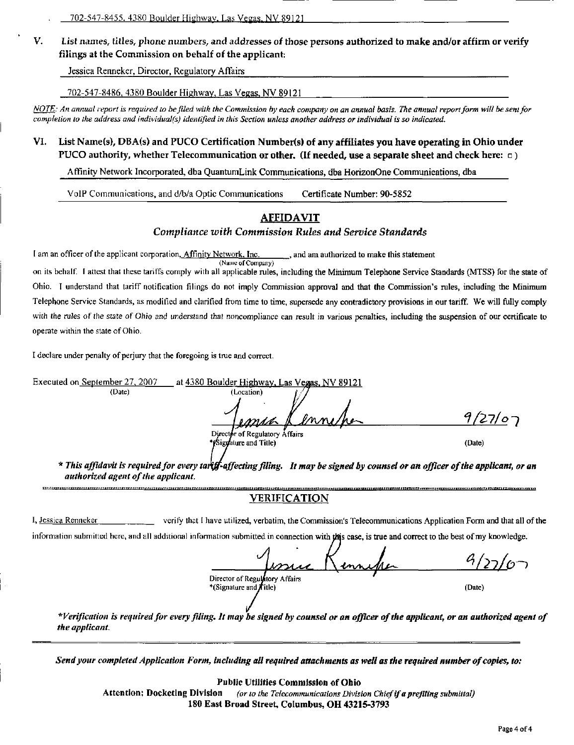V. List names, titles, phone numbers, and addresses of those persons authorized to make and/or affirm or verify filings at the Commission on behalf of the applicant:

Jessica Renneker, Director, Regulatory Affairs

702-547-8486. 4380 Boulder Highway, Las Vegas, NV 89121

NOTE: An annual report is required to be filed with the Commission by each company on an annual basis. The annual report form will be sent for completion to the address and individual(s) identified in this Section unless another address or individual is so indicated.

# VI. List Name(s), DBA(s) and PUCO Certification Number(s) of any affiliates you have operating in Ohio under PUCO authority, whether Telecommunication or other. (If needed, use a separate sheet and check here:  $\Box$ )

Affinity Network Incorporated, dba QuantumLink Communications, dba HorizonOne Communications, dba

VoIP Communications, and d/b/a Optic Communications Certificate Number: 90-5852

# **AFFIDAVIT**

#### Compliance with Commission Rules and Service Standards

I am an officer of the applicant corporation, Affinity Network. Inc. , and am authorized to make this statement (Name of Company)

on its behalf. I attest that these tariffs comply with all applicable rules, including the Minimum Telephone Service Standards (MTSS) for the state of Ohio. 1 understand that tariff notification filings do not imply Commission approval and that the Commission's rules, including the Minimum Telephone Service Standards, as modified and clarified from time to time, supersede any contradictory provisions in our tariff We will fully comply with the rules of the state of Ohio and understand that noncompliance can result in various penalties, including the suspension of our certificate to operate within the state of Ohio.

I declare under penalty of perjury that the foregoing is tme and correct.

Executed on September 27, 2007 at 4380 Boulder Highway, Las Vegas, NV 89121 (Date) (Location)  $9/27/07$ enne/pa Director of Regulatory Affairs <sup>\*</sup>(Signature and Title) (Date) \* This affidavit is required for every tart f-affecting filing. It may be signed by counsel or an officer of the applicant, or an authorized agent of the applicant. VERIFICATION 1, Jessica Renneker verify that I have utilized, verbatim, the Commission's Telecommunications Application Form and that all of the information submitted here, and all additional information submitted in connection with this case, is true and correct to the best of my knowledge. רט<u>/רג/י</u> Director of Regulatory Affairs \*(Signature and *f* itle) (Date) \*Verification is required for every filing. It may be signed by counsel or an officer of the applicant, or an authorized agent of the applicant.

Send your completed Application Form, including all required attachments as well as the required number of copies, to:

#### Public Utiiities Commission of Ohio

Attention; Docketing Division (or to the Telecommunications Division Chief if a prefiling submittal) 180 East Broad Street, Columbus, OH 43215-3793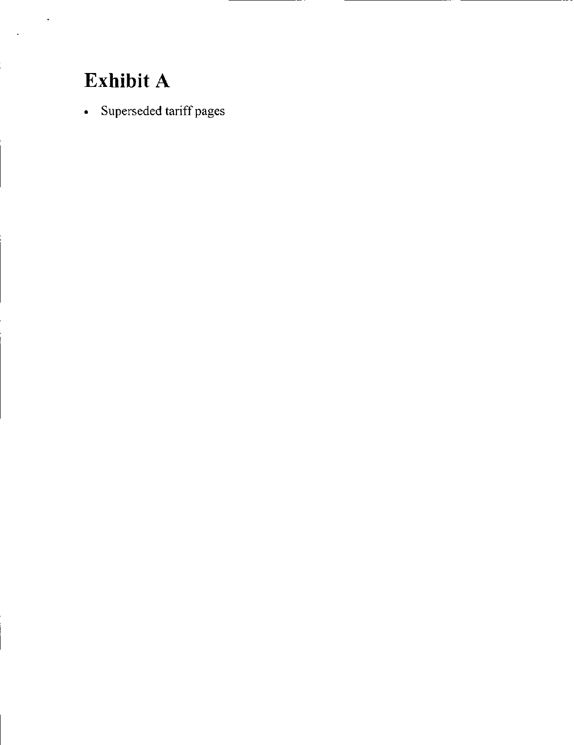# Exhibit A

• Superseded tariff pages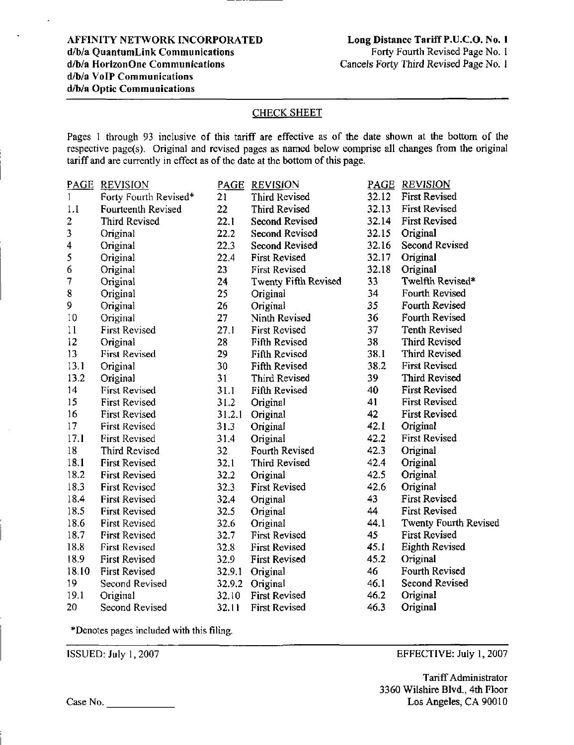### CHECK SHEET

Pages 1 through 93 inclusive of this tariff are effective as of the date shown at the bottom of the respective page(s). Original and revised pages as named below comprise all changes from the original tariff and are currently in effect as of the date at the bottom of this page.

| <b>PAGE</b> | <b>REVISION</b>       | PAGE   | <b>REVISION</b>             | PAGE  | <b>REVISION</b>       |
|-------------|-----------------------|--------|-----------------------------|-------|-----------------------|
| 1           | Forty Fourth Revised* | 21     | Third Revised               | 32.12 | <b>First Revised</b>  |
| 1.1         | Fourteenth Revised    | 22     | Third Revised               | 32.13 | <b>First Revised</b>  |
| 2           | Third Revised         | 22.1   | <b>Second Revised</b>       | 32.14 | <b>First Revised</b>  |
| 3           | Original              | 22.2   | <b>Second Revised</b>       | 32.15 | Original              |
| 4           | Original              | 22.3   | <b>Second Revised</b>       | 32.16 | Second Revised        |
| 5           | Original              | 22.4   | <b>First Revised</b>        | 32.17 | Original              |
| 6           | Original              | 23     | <b>First Revised</b>        | 32.18 | Original              |
| 7           | Original              | 24     | <b>Twenty Fifth Revised</b> | 33    | Twelfth Revised*      |
| 8           | Original              | 25     | Original                    | 34    | Fourth Revised        |
| 9           | Original              | 26     | Original                    | 35    | Fourth Revised        |
| 10          | Original              | 27     | Ninth Revised               | 36    | Fourth Revised        |
| 11          | <b>First Revised</b>  | 27.1   | <b>First Revised</b>        | 37    | <b>Tenth Revised</b>  |
| 12          | Original              | 28     | Fifth Revised               | 38    | <b>Third Revised</b>  |
| 13          | <b>First Revised</b>  | 29     | <b>Fifth Revised</b>        | 38.1  | Third Revised         |
| 13.1        | Original              | 30     | Fifth Revised               | 38.2  | <b>First Revised</b>  |
| 13.2        | Original              | 31     | Third Revised               | 39    | Third Revised         |
| 14          | <b>First Revised</b>  | 31.1   | <b>Fifth Revised</b>        | 40    | <b>First Revised</b>  |
| 15          | <b>First Revised</b>  | 31.2   | Original                    | 41    | <b>First Revised</b>  |
| 16          | First Revised         | 31.2.1 | Original                    | 42    | <b>First Revised</b>  |
| 17          | <b>First Revised</b>  | 31.3   | Original                    | 42.1  | Original              |
| 17.1        | <b>First Revised</b>  | 31.4   | Original                    | 42.2  | <b>First Revised</b>  |
| 18          | <b>Third Revised</b>  | 32     | Fourth Revised              | 42.3  | Original              |
| 18.1        | <b>First Revised</b>  | 32.1   | Third Revised               | 42.4  | Original              |
| 18.2        | <b>First Revised</b>  | 32.2   | Original                    | 42.5  | Original              |
| 18.3        | <b>First Revised</b>  | 32.3   | <b>First Revised</b>        | 42.6  | Original              |
| 18.4        | First Revised         | 32.4   | Original                    | 43    | <b>First Revised</b>  |
| 18.5        | <b>First Revised</b>  | 32.5   | Original                    | 44    | <b>First Revised</b>  |
| 18.6        | <b>First Revised</b>  | 32.6   | Original                    | 44.1  | Twenty Fourth Revised |
| 18.7        | <b>First Revised</b>  | 32.7   | <b>First Revised</b>        | 45    | <b>First Revised</b>  |
| 18.8        | <b>First Revised</b>  | 32.8   | <b>First Revised</b>        | 45.1  | <b>Eighth Revised</b> |
| 18.9        | First Revised         | 32.9   | <b>First Revised</b>        | 45.2  | Original              |
| 18.10       | <b>First Revised</b>  | 32.9.1 | Original                    | 46    | Fourth Revised        |
| 19          | Second Revised        | 32.9.2 | Original                    | 46.1  | <b>Second Revised</b> |
| 19.1        | Original              | 32.10  | <b>First Revised</b>        | 46.2  | Original              |
| 20          | Second Revised        | 32.11  | <b>First Revised</b>        | 46.3  | Original              |

\*Denotes pages included with this filing.

ISSUED: July 1,2007

EFFECTIVE: July 1,2007

Tariff Administrator 3360 Wilshire Blvd., 4th Floor Los Angeles, CA 90010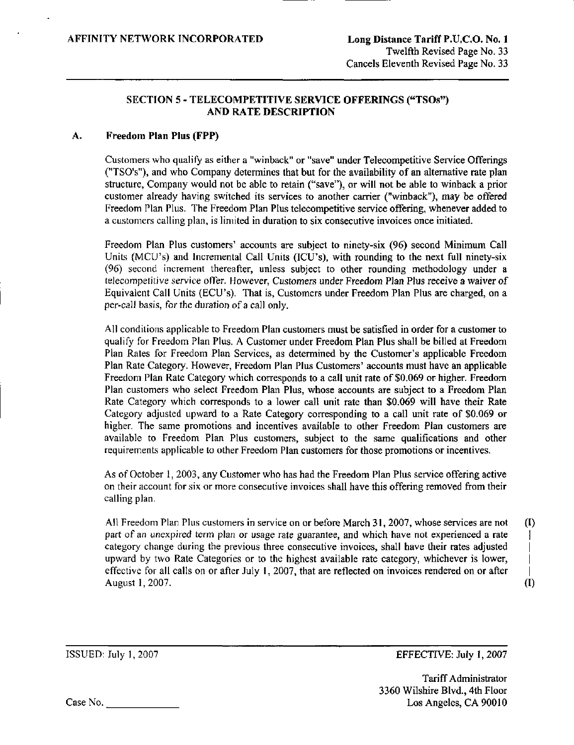## SECTION 5 - TELECOMPETITIVE SERVICE OFFERINGS ("TSOs") AND RATE DESCRIPTION

#### Freedom Plan Plus (FPP) А.

Customers who qualify as either a "winback" or "save" under Telecompetitive Service Offerings ("TSO's"), and who Company determines that but for the availability of an altemative rate plan structure. Company would not be able to retain ("save"), or will not be able to winback a prior customer already having switched its services to another carrier ("winback"), may be offered Freedom Plan Plus. The Freedom Plan Plus telecompetitive service offering, whenever added to a customers calling plan, is limited in duration to six consecutive invoices once initiated.

Freedom Plan Plus customers' accounts are subject to ninety-six (96) second Minimum Call Units (MCU's) and Incremental Call Units (ICU's), with rounding to the next full ninety-six (96) second increment thereafter, unless subject to other rounding methodology under a telecompetitive service offer. However, Customers under Freedom Plan Plus receive a waiver of Equivalent Call Units (ECU's). That is. Customers under Freedom Plan Plus are charged, on a per-call basis, for the duration of a call only.

All condilions applicable to Freedom Plan customers must be satisfied in order for a customer to qualify for Freedom Plan Plus. A Customer under Freedom Plan Plus shall be billed at Freedom Plan Rates for Freedom Plan Services, as determined by the Customer's applicable Freedom Plan Rate Category. However, Freedom Plan Plus Customers' accounts must have an applicable Freedom Plan Rate Category which corresponds to a call unit rate of \$0.069 or higher. Freedom Plan customers who select Freedom Plan Plus, whose accounts are subject to a Freedom Plan Rate Category which corresponds to a lower call unit rate than \$0,069 will have their Rate Category adjusted upward to a Rate Category corresponding to a call unit rate of \$0,069 or higher. The same promotions and incentives available to other Freedom Plan customers are available to Freedom Plan Plus customers, subject to the same qualifications and other requirements applicable to other Freedom Plan customers for those promotions or incentives.

As of October 1, 2003, any Customer who has had the Freedom Plan Plus service offering active on their account for six or more consecutive invoices shall have this offering removed from their calling plan.

All Freedom Plan Plus customers in service on or before March 31, 2007, whose services are not (I) part of an unexpired term plan or usage rate guarantee, and which have not experienced a rate category change during the previous three consecutive invoices, shall have their rates adjusted | upward by two Rate Categories or to the highest available rate category, whichever is lower, | effective for all calls on or after July 1, 2007, that are reflected on invoices rendered on or after August 1,2007. (I)

ISSUED: July 1, 2007 EFFECTIVE: July 1, 2007

Tariff Administrator 3360 Wilshire Blvd., 4th Floor Case No. Los Angeles, CA 90010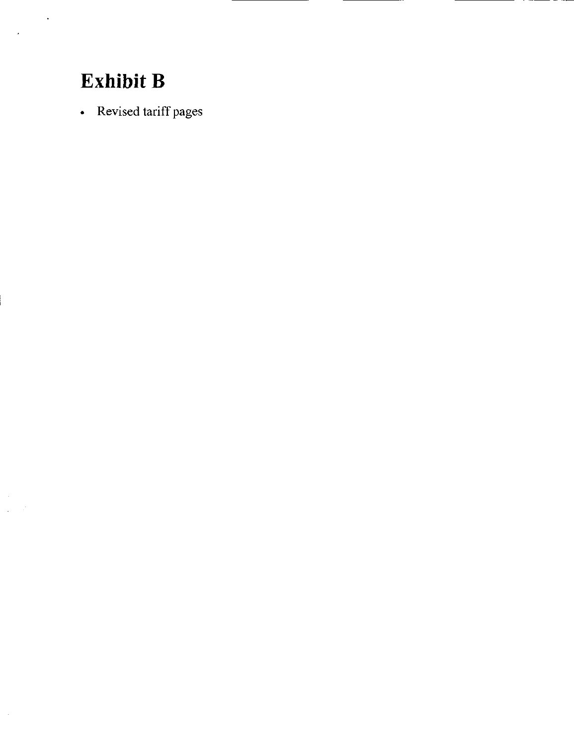# Exhibit B

 $\ddot{\phantom{a}}$ 

 $\bar{\mathcal{L}}$ 

 $\sim$ 

• Revised tariff pages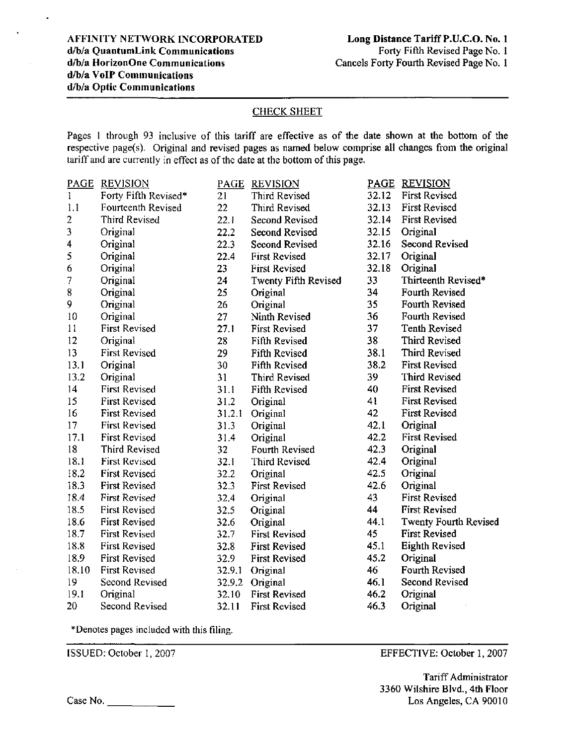## CHECK SHEET

Pages 1 through 93 inclusive of this tariff are effective as of the date shown at the bottom of the respective page(s). Original and revised pages as named below comprise all changes from the original tariff and are currently in effect as of the date at the bottom of this page.

| <b>PAGE</b>    | <b>REVISION</b>      | PAGE   | <b>REVISION</b>       | <b>PAGE</b> | <b>REVISION</b>              |
|----------------|----------------------|--------|-----------------------|-------------|------------------------------|
| $\mathbf{I}$   | Forty Fifth Revised* | 21     | Third Revised         | 32.12       | <b>First Revised</b>         |
| 1.1            | Fourteenth Revised   | 22     | Third Revised         | 32.13       | <b>First Revised</b>         |
| $\overline{2}$ | Third Revised        | 22.1   | <b>Second Revised</b> | 32.14       | <b>First Revised</b>         |
| 3              | Original             | 22.2   | <b>Second Revised</b> | 32.15       | Original                     |
| 4              | Original             | 22.3   | <b>Second Revised</b> | 32.16       | <b>Second Revised</b>        |
| 5              | Original             | 22.4   | <b>First Revised</b>  | 32.17       | Original                     |
| 6              | Original             | 23     | <b>First Revised</b>  | 32.18       | Original                     |
| 7              | Original             | 24     | Twenty Fifth Revised  | 33          | Thirteenth Revised*          |
| 8              | Original             | 25     | Original              | 34          | <b>Fourth Revised</b>        |
| 9              | Original             | 26     | Original              | 35          | Fourth Revised               |
| 10             | Original             | 27     | Ninth Revised         | 36          | Fourth Revised               |
| 11             | <b>First Revised</b> | 27.1   | <b>First Revised</b>  | 37          | <b>Tenth Revised</b>         |
| 12             | Original             | 28     | <b>Fifth Revised</b>  | 38          | Third Revised                |
| 13             | <b>First Revised</b> | 29     | <b>Fifth Revised</b>  | 38.1        | Third Revised                |
| 13.1           | Original             | 30     | <b>Fifth Revised</b>  | 38.2        | <b>First Revised</b>         |
| 13.2           | Original             | 31     | <b>Third Revised</b>  | 39          | <b>Third Revised</b>         |
| 14             | <b>First Revised</b> | 31.1   | Fifth Revised         | 40          | <b>First Revised</b>         |
| 15             | <b>First Revised</b> | 31.2   | Original              | 41          | <b>First Revised</b>         |
| 16             | <b>First Revised</b> | 31.2.1 | Original              | 42          | <b>First Revised</b>         |
| 17             | <b>First Revised</b> | 31.3   | Original              | 42.1        | Original                     |
| 17.1           | <b>First Revised</b> | 31.4   | Original              | 42.2        | <b>First Revised</b>         |
| 18             | Third Revised        | 32     | Fourth Revised        | 42.3        | Original                     |
| 18.1           | <b>First Revised</b> | 32.1   | <b>Third Revised</b>  | 42,4        | Original                     |
| 18.2           | <b>First Revised</b> | 32.2   | Original              | 42.5        | Original                     |
| 18.3           | <b>First Revised</b> | 32.3   | <b>First Revised</b>  | 42.6        | Original                     |
| 18.4           | <b>First Revised</b> | 32.4   | Original              | 43          | <b>First Revised</b>         |
| 18.5           | <b>First Revised</b> | 32.5   | Original              | 44          | <b>First Revised</b>         |
| 18.6           | <b>First Revised</b> | 32.6   | Original              | 44.1        | <b>Twenty Fourth Revised</b> |
| 18.7           | First Revised        | 32.7   | <b>First Revised</b>  | 45          | <b>First Revised</b>         |
| 18.8           | <b>First Revised</b> | 32.8   | <b>First Revised</b>  | 45.1        | <b>Eighth Revised</b>        |
| 18.9           | <b>First Revised</b> | 32.9   | <b>First Revised</b>  | 45.2        | Original                     |
| 18.10          | <b>First Revised</b> | 32.9.1 | Original              | 46          | Fourth Revised               |
| 19             | Second Revised       | 32.9.2 | Original              | 46.1        | Second Revised               |
| 19.1           | Original             | 32.10  | <b>First Revised</b>  | 46.2        | Original                     |
| 20             | Second Revised       | 32.11  | <b>First Revised</b>  | 46.3        | Original                     |

^Denotes pages included with this filing.

ISSUED: October 1,2007

EFFECTIVE: October 1, 2007

Tariff Administrator 3360 Wilshire Blvd., 4th Floor Los Angeles, CA 90010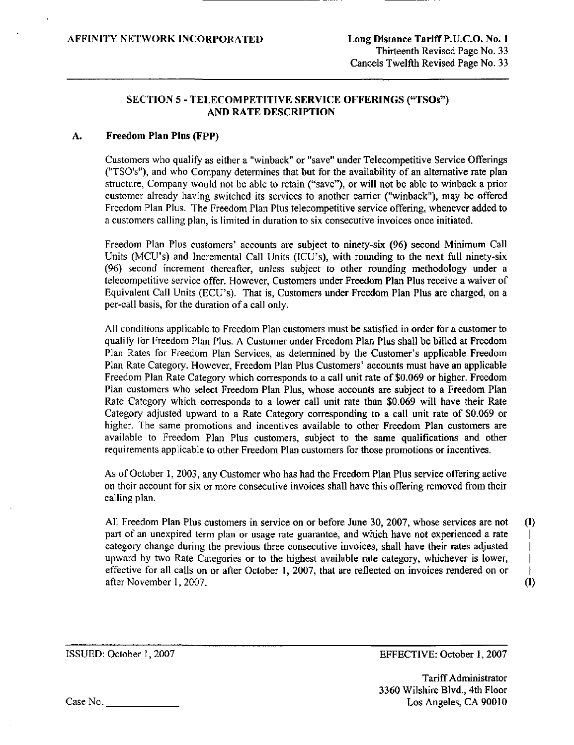## SECTION 5 - TELECOMPETITIVE SERVICE OFFERINGS ("TSOs") AND RATE DESCRIPTION

#### Freedom Plan Plus (FPP) A.

Customers who qualify as either a "winback" or "save" under Telecompetitive Service Offerings ("TSO's"), and who Company determines that but for the availability of an altemative rate plan structure, Company would not be able to retain ("save"), or will not be able to winback a prior customer already having switched its services to another carrier ("winback"), may be offered Freedom Plan Plus. The Freedom Plan Plus telecompetitive service offering, whenever added to a customers calling plan, is limited in duration to six consecutive invoices once initiated.

Freedom Plan Plus customers' accounts are subject to ninety-six (96) second Minimum Call Units (MCU's) and Incremental Call Units (ICU's), with rounding to the next full ninety-six (96) second increment thereafter, unless subject to other rounding methodology under a telecompetitive service offer. However, Customers under Freedom Plan Plus receive a waiver of Equivalent Call Units (ECU's). That is, Customers under Freedom Plan Plus are charged, on a per-call basis, for the duration of a call only.

All conditions applicable to Freedom Plan customers must be satisfied in order for a customer to qualify for Freedom Plan Plus. A Customer under Freedom Plan Plus shall be billed at Freedom Plan Rates for Freedom Plan Services, as determined by the Customer's applicable Freedom Plan Rate Category. However, Freedom Plan Plus Customers' accounts must have an applicable Freedom Plan Rate Category which corresponds to a call unit rate of \$0,069 or higher. Freedom Plan customers who select Freedom Plan Plus, whose accounts are subject to a Freedom Plan Rate Category which corresponds to a lower call unit rate than \$0,069 will have their Rate Category adjusted upward to a Rate Category corresponding to a call unit rate of \$0,069 or higher. The same promotions and incentives available to other Freedom Plan customers are available to Freedom Plan Plus customers, subject to the same qualifications and other requirements applicable to other Freedom Plan customers for those promotions or incentives.

As of October 1, 2003, any Customer who has had the Freedom Plan Plus service offering active on their account for six or more consecutive invoices shall have this offering removed from their calling plan.

All Freedom Plan Plus customers in service on or before June 30, 2007, whose services are not (I) part of an unexpired term plan or usage rate guarantee, and which have not experienced a rate category change during the previous three consecutive invoices, shall have their rates adjusted | upward by two Rate Categories or to the highest available rate category, whichever is lower, | effective for all calls on or after October 1, 2007, that are reflected on invoices rendered on or after November 1, 2007. (I)

ISSUED: October I, 2007 EFFECTIVE: October 1, 2007

Tariff Administrator 3360 Wilshire Blvd., 4th Floor Case No. Los Angeles, CA 90010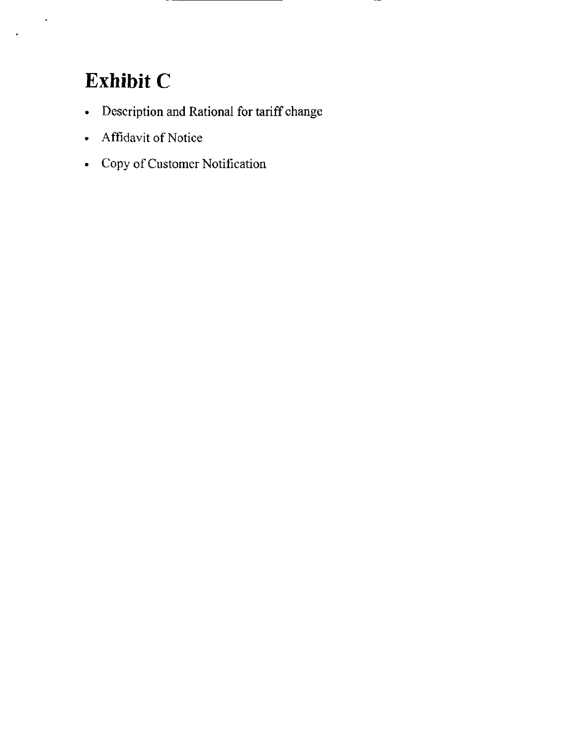# Exhibit C

 $\ddot{\phantom{a}}$ 

×

- Description and Rational for tariff change
- Affidavit of Notice
- Copy of Customer Notification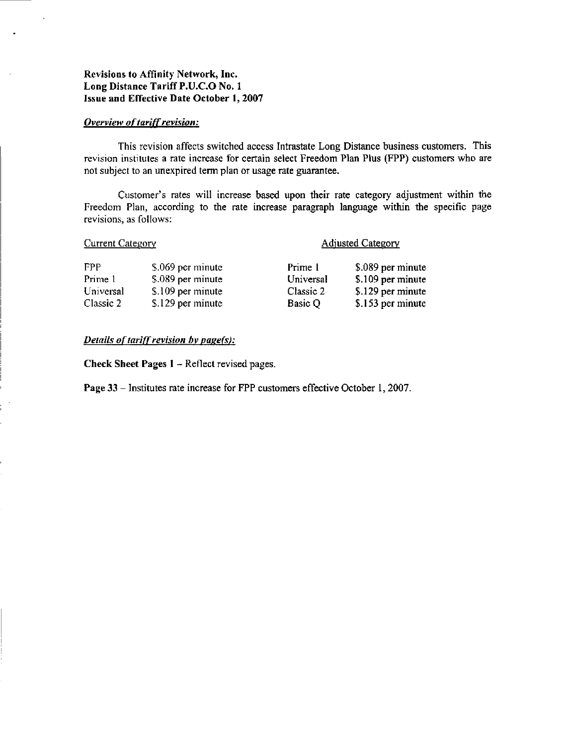# Revisions to Affinity Network, Inc. Long Distance Tariff P.U.C.O No. 1 Issue and Effective Date October 1, 2007

#### **Overview of tariff revision:**

This revision affects switched access Intrastate Long Distance business customers. This revision institutes a rate increase for certain select Freedom Plan Plus (FPP) customers who are not subject to an unexpired term plan or usage rate guarantee.

Customer's rates will increase based upon their rate category adjustment within the Freedom Plan, according to the rate increase paragraph language within the specific page revisions, as follows:

| <b>Current Category</b> |                   | <b>Adjusted Category</b> |                   |  |
|-------------------------|-------------------|--------------------------|-------------------|--|
| FPP                     | \$.069 per minute | Prime 1                  | \$.089 per minute |  |
| Prime 1                 | \$.089 per minute | Universal                | \$.109 per minute |  |
| Universal               | \$.109 per minute | Classic 2                | \$.129 per minute |  |
| Classic 2               | \$.129 per minute | Basic Q                  | \$.153 per minute |  |

#### Details of tariff revision by page(s):

Check Sheet Pages 1 - Reflect revised pages.

Page 33 - Institutes rate increase for FPP customers effective October 1, 2007.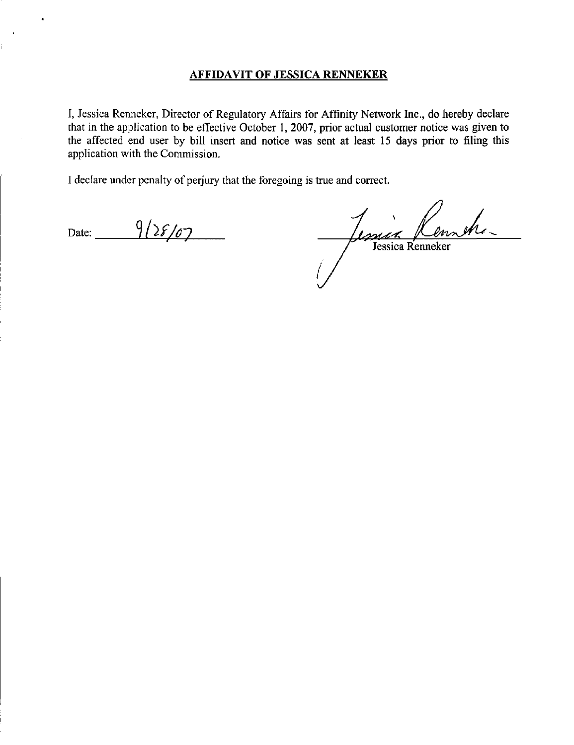# AFFIDAVIT OF JESSICA RENNEKER

I, Jessica Renneker, Director of Regulatory Affairs for Affinity Network Inc., do hereby declare that in the application to be effective October 1, 2007, prior actual customer notice was given to the affected end user by bill insert and notice was sent at least 15 days prior to filing this application with the Commission.

I declare under penalty of perjury that the foregoing is true and correct.

Date:  $9/28/07$ 

Jessica Ken